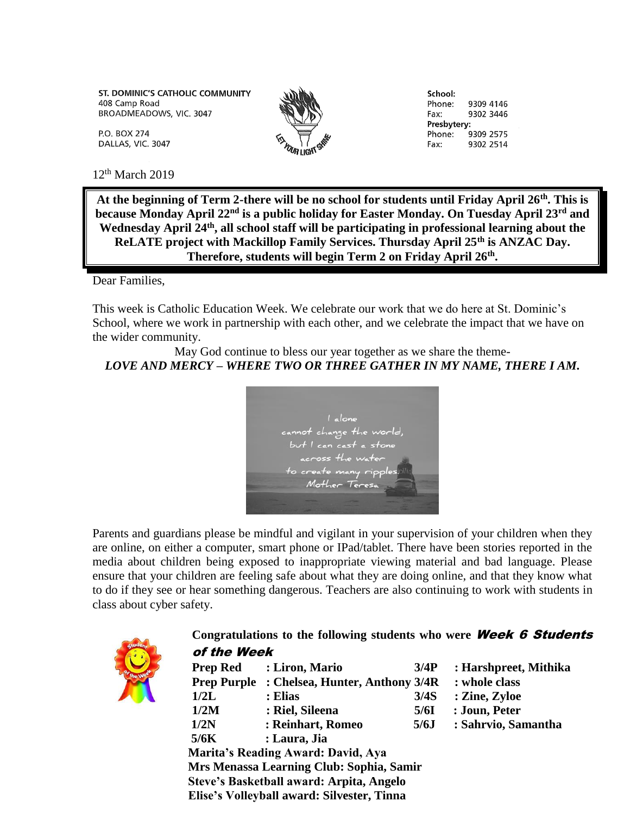ST. DOMINIC'S CATHOLIC COMMUNITY 408 Camp Road BROADMEADOWS, VIC. 3047

P.O. BOX 274 DALLAS, VIC. 3047



School: Phone: 9309 4146 Fax: 9302 3446 Presbytery: Phone: 9309 2575 9302 2514 Fax:

 $12<sup>th</sup>$  March 2019

**At the beginning of Term 2-there will be no school for students until Friday April 26th. This is because Monday April 22nd is a public holiday for Easter Monday. On Tuesday April 23rd and Wednesday April 24th, all school staff will be participating in professional learning about the ReLATE project with Mackillop Family Services. Thursday April 25th is ANZAC Day. Therefore, students will begin Term 2 on Friday April 26th .**

Dear Families,

This week is Catholic Education Week. We celebrate our work that we do here at St. Dominic's School, where we work in partnership with each other, and we celebrate the impact that we have on the wider community.

May God continue to bless our year together as we share the theme-*LOVE AND MERCY – WHERE TWO OR THREE GATHER IN MY NAME, THERE I AM.*



Parents and guardians please be mindful and vigilant in your supervision of your children when they are online, on either a computer, smart phone or IPad/tablet. There have been stories reported in the media about children being exposed to inappropriate viewing material and bad language. Please ensure that your children are feeling safe about what they are doing online, and that they know what to do if they see or hear something dangerous. Teachers are also continuing to work with students in class about cyber safety.



## **Congratulations to the following students who were** Week 6 Students of the Week

|                                            |                                    | : whole class                                                               |
|--------------------------------------------|------------------------------------|-----------------------------------------------------------------------------|
| : Elias                                    | 3/4S                               | : Zine, Zyloe                                                               |
| : Riel, Sileena                            | 5/6I                               | : Joun, Peter                                                               |
| : Reinhart, Romeo                          | 5/6J                               | : Sahrvio, Samantha                                                         |
| : Laura, Jia                               |                                    |                                                                             |
|                                            |                                    |                                                                             |
|                                            |                                    |                                                                             |
| Steve's Basketball award: Arpita, Angelo   |                                    |                                                                             |
| Elise's Volleyball award: Silvester, Tinna |                                    |                                                                             |
|                                            | Marita's Reading Award: David, Aya | : Chelsea, Hunter, Anthony 3/4R<br>Mrs Menassa Learning Club: Sophia, Samir |